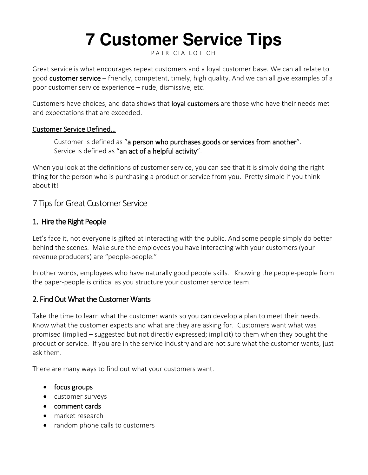# **7 Customer Service Tips**

#### PATRICIA LOTICH

Great service is what encourages repeat customers and a loyal customer base. We can all relate to good [customer service](https://thethrivingsmallbusiness.com/7-steps-to-creating-a-customer-service-strategy/) – friendly, competent, timely, high quality. And we can all give examples of a poor customer service experience – rude, dismissive, etc.

Customers have choices, and data shows that **loyal customers** are those who have their needs met and expectations that are exceeded.

#### Customer Service Defined…

Customer is defined as "a person who purchases goods or services from another". Service is defined as "an act of a helpful activity".

When you look at the definitions of customer service, you can see that it is simply doing the right thing for the person who is purchasing a product or service from you. Pretty simple if you think about it!

## 7 Tips for Great Customer Service

#### 1. Hire the Right People

Let's face it, not everyone is gifted at interacting with the public. And some people simply do better behind the scenes. Make sure the employees you have interacting with your customers (your revenue producers) are "people-people."

In other words, employees who have naturally good people skills. Knowing the people-people from the paper-people is critical as you structure your customer service team.

## 2. Find Out What the Customer Wants

Take the time to learn what the customer wants so you can develop a plan to meet their needs. Know what the customer expects and what are they are asking for. Customers want what was promised (implied – suggested but not directly expressed; implicit) to them when they bought the product or service. If you are in the service industry and are not sure what the customer wants, just ask them.

There are many ways to find out what your customers want.

- [focus groups](https://thethrivingsmallbusiness.com/advantages-of-focus-group-interviews/)
- customer surveys
- [comment cards](https://thethrivingsmallbusiness.com/free-customer-comment-card-template/)
- market research
- random phone calls to customers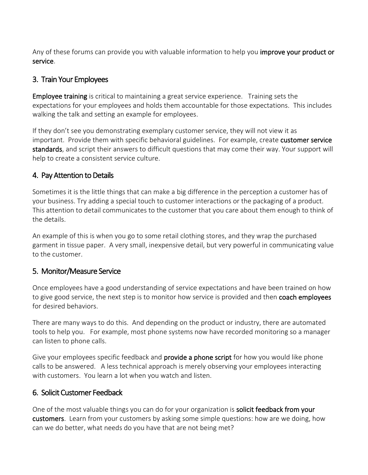Any of these forums can provide you with valuable information to help you **improve your product or** [service.](https://thethrivingsmallbusiness.com/seven-management-tools-for-quality-control/)

#### 3. Train Your Employees

[Employee training](https://thethrivingsmallbusiness.com/5-employee-training-benefits/) is critical to maintaining a great service experience. Training sets the expectations for your employees and holds them accountable for those expectations. This includes walking the talk and setting an example for employees.

If they don't see you demonstrating exemplary customer service, they will not view it as important. Provide them with specific behavioral guidelines. For example, create customer service [standards,](https://thethrivingsmallbusiness.com/customer-service-standards/) and script their answers to difficult questions that may come their way. Your support will help to create a consistent service culture.

## 4. Pay Attention to Details

Sometimes it is the little things that can make a big difference in the perception a customer has of your business. Try adding a special touch to customer interactions or the packaging of a product. This attention to detail communicates to the customer that you care about them enough to think of the details.

An example of this is when you go to some retail clothing stores, and they wrap the purchased garment in tissue paper. A very small, inexpensive detail, but very powerful in communicating value to the customer.

## 5. Monitor/Measure Service

Once employees have a good understanding of service expectations and have been trained on how to give good service, the next step is to monitor how service is provided and then **coach employees** for desired behaviors.

There are many ways to do this. And depending on the product or industry, there are automated tools to help you. For example, most phone systems now have recorded monitoring so a manager can listen to phone calls.

Give your employees specific feedback and **provide a phone script** for how you would like phone calls to be answered. A less technical approach is merely observing your employees interacting with customers. You learn a lot when you watch and listen.

## 6. Solicit Customer Feedback

One of the most valuable things you can do for your organization is [solicit feedback from your](https://thethrivingsmallbusiness.com/customer-satisfaction-survey-template/)  [customers.](https://thethrivingsmallbusiness.com/customer-satisfaction-survey-template/) Learn from your customers by asking some simple questions: how are we doing, how can we do better, what needs do you have that are not being met?